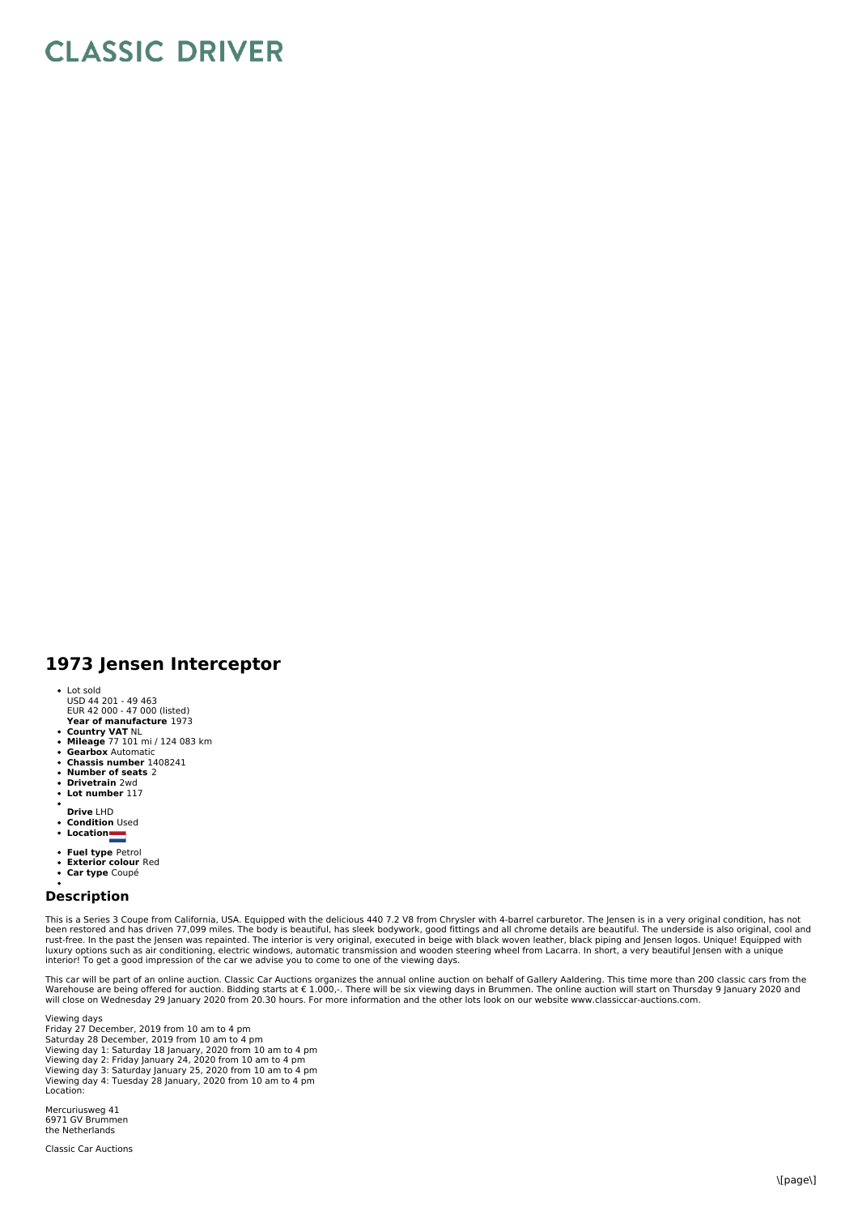## **CLASSIC DRIVER**

## **1973 Jensen Interceptor**

- Lot sold
- **Year of manufacture** 1973 USD 44 201 - 49 463 EUR 42 000 - 47 000 (listed)
- 
- **Country VAT** NL **Mileage** 77 101 mi / 124 083 km
- $\ddot{\phantom{a}}$ **Gearbox** Automatic
- **Chassis number** 1408241  $\overline{a}$
- **Number of seats** 2 **Drivetrain** 2wd
- **Lot number** 117
- 
- **Drive** LHD **Condition** Used
- 
- **Location**
- **Fuel type** Petrol **Exterior colour** Red
- 
- **Car type** Coupé

## **Description**

This is a Series 3 Coupe from California, USA. Equipped with the delicious 440 7.2 V8 from Chrysler with 4-barrel carburetor. The Jensen is in a very original condition, has not<br>been restored and has driven 77,099 miles. T

This car will be part of an online auction. Classic Car Auctions organizes the annual online auction on behalf of Gallery Aaldering. This time more than 200 classic cars from the Warehouse are being offered for auction. Bidding starts at € 1.000,-. There will be six viewing days in Brummen. The online auction will start on Thursday 9 January 2020 and<br>will close on Wednesday 29 January 2020 from 20

Viewing days Friday 27 December, 2019 from 10 am to 4 pm Saturday 28 December, 2019 from 10 am to 4 pm Viewing day 1: Saturday 18 January, 2020 from 10 am to 4 pm Viewing day 2: Friday January 24, 2020 from 10 am to 4 pm Viewing day 3: Saturday January 25, 2020 from 10 am to 4 pm Viewing day 4: Tuesday 28 January, 2020 from 10 am to 4 pm Location:

Mercuriusweg 41 6971 GV Brummen the Netherlands

Classic Car Auctions